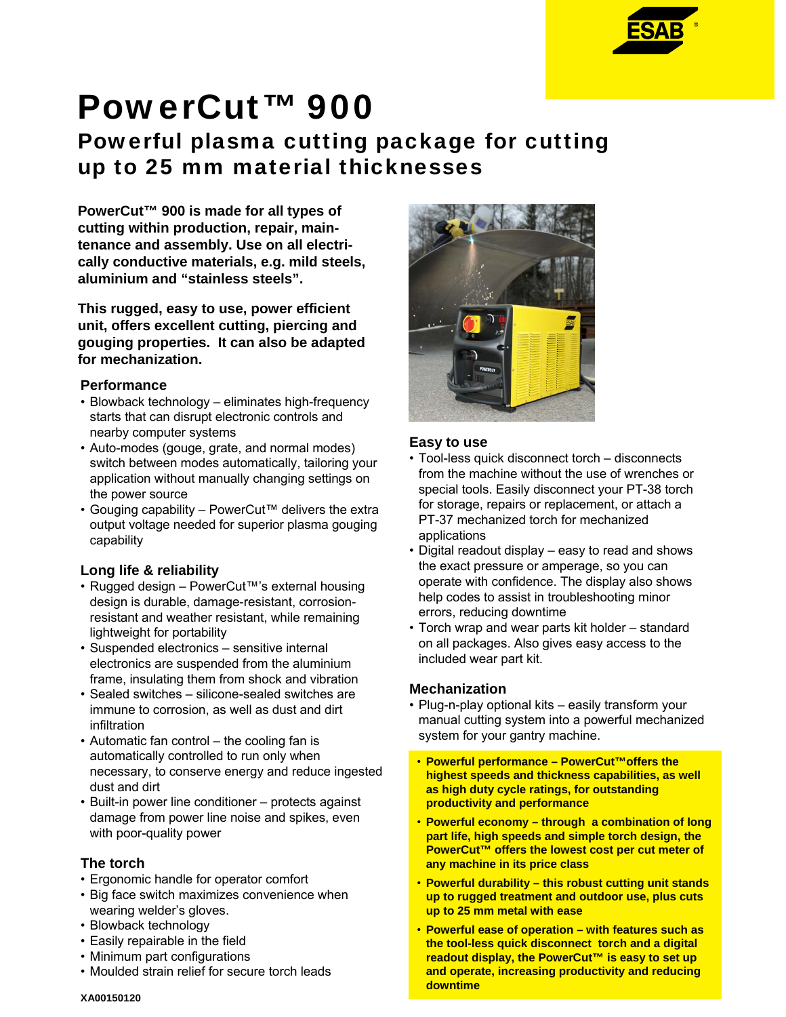

# PowerCut™ 900

# Powerful plasma cutting package for cutting up to 25 mm material thicknesses

**PowerCut™ 900 is made for all types of cutting within production, repair, maintenance and assembly. Use on all electrically conductive materials, e.g. mild steels, aluminium and "stainless steels".** 

**This rugged, easy to use, power efficient unit, offers excellent cutting, piercing and gouging properties. It can also be adapted for mechanization.**

## **Performance**

- Blowback technology eliminates high-frequency starts that can disrupt electronic controls and nearby computer systems
- Auto-modes (gouge, grate, and normal modes) switch between modes automatically, tailoring your application without manually changing settings on the power source
- Gouging capability PowerCut™ delivers the extra output voltage needed for superior plasma gouging capability

# **Long life & reliability**

- Rugged design PowerCut™'s external housing design is durable, damage-resistant, corrosionresistant and weather resistant, while remaining lightweight for portability
- Suspended electronics sensitive internal electronics are suspended from the aluminium frame, insulating them from shock and vibration
- Sealed switches silicone-sealed switches are immune to corrosion, as well as dust and dirt infiltration
- Automatic fan control the cooling fan is automatically controlled to run only when necessary, to conserve energy and reduce ingested dust and dirt
- Built-in power line conditioner protects against damage from power line noise and spikes, even with poor-quality power

# **The torch**

- Ergonomic handle for operator comfort
- Big face switch maximizes convenience when wearing welder's gloves.
- Blowback technology
- Easily repairable in the field
- Minimum part configurations
- Moulded strain relief for secure torch leads



# **Easy to use**

- Tool-less quick disconnect torch disconnects from the machine without the use of wrenches or special tools. Easily disconnect your PT-38 torch for storage, repairs or replacement, or attach a PT-37 mechanized torch for mechanized applications
- Digital readout display easy to read and shows the exact pressure or amperage, so you can operate with confidence. The display also shows help codes to assist in troubleshooting minor errors, reducing downtime
- Torch wrap and wear parts kit holder standard on all packages. Also gives easy access to the included wear part kit.

# **Mechanization**

- Plug-n-play optional kits easily transform your manual cutting system into a powerful mechanized system for your gantry machine.
- **Powerful performance PowerCut™offers the highest speeds and thickness capabilities, as well as high duty cycle ratings, for outstanding productivity and performance**
- **Powerful economy through a combination of long part life, high speeds and simple torch design, the PowerCut™ offers the lowest cost per cut meter of any machine in its price class**
- **Powerful durability this robust cutting unit stands up to rugged treatment and outdoor use, plus cuts up to 25 mm metal with ease**
- **Powerful ease of operation with features such as the tool-less quick disconnect torch and a digital readout display, the PowerCut™ is easy to set up and operate, increasing productivity and reducing downtime**

#### **XA00150120**